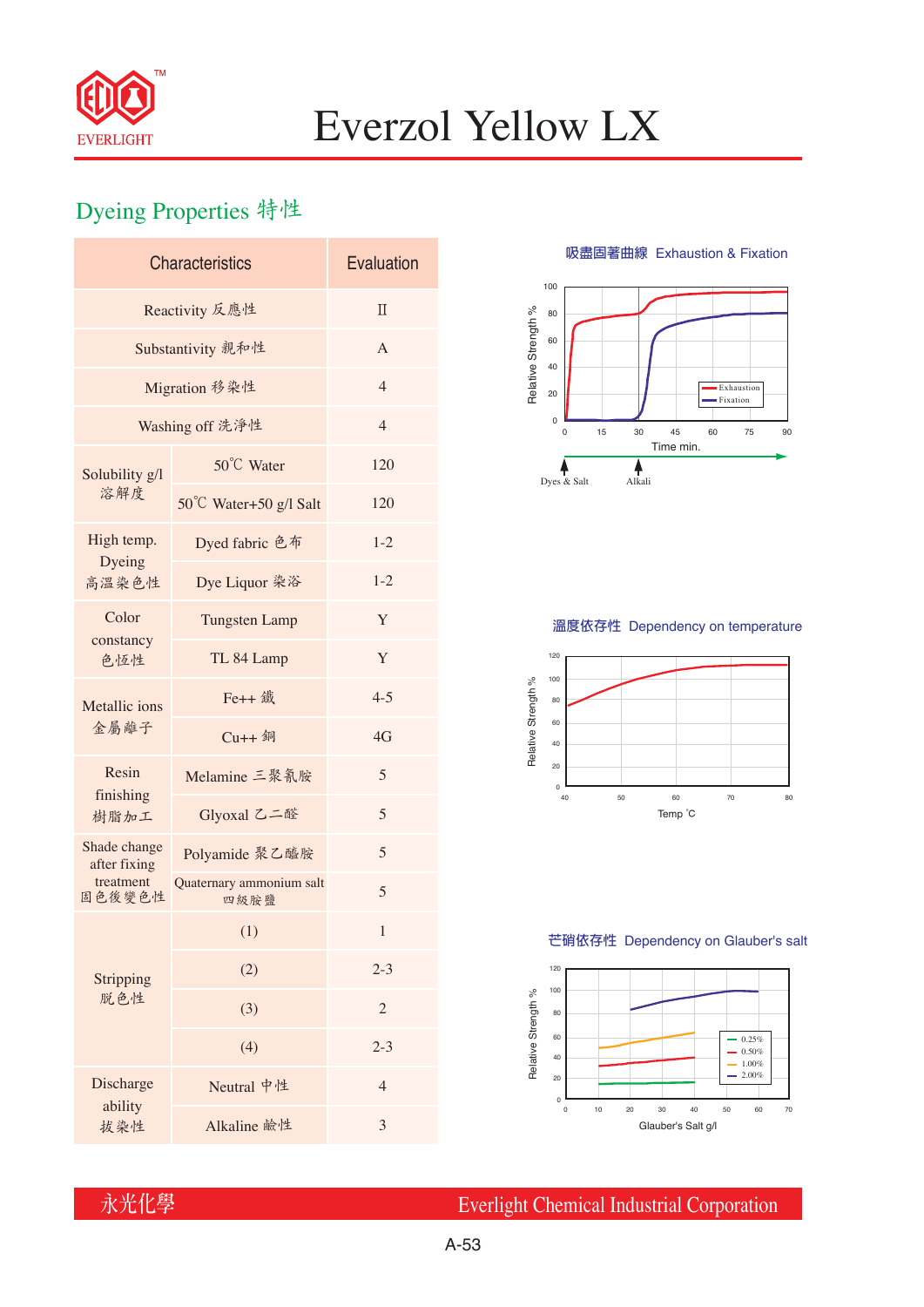

# Everzol Yellow LX

## Dyeing Properties 特性

| <b>Characteristics</b>       | Evaluation                       |                |  |  |  |
|------------------------------|----------------------------------|----------------|--|--|--|
| Reactivity 反應性               | $\Pi$                            |                |  |  |  |
| Substantivity 親和性            | $\overline{A}$                   |                |  |  |  |
| Migration 移染性                | $\overline{4}$                   |                |  |  |  |
| Washing off 洗淨性              | $\overline{4}$                   |                |  |  |  |
| Solubility g/l<br>溶解度        | 50°C Water                       | 120            |  |  |  |
|                              | 50°C Water+50 g/l Salt           | 120            |  |  |  |
| High temp.                   | Dyed fabric 色布                   | $1 - 2$        |  |  |  |
| Dyeing<br>高溫染色性              | Dye Liquor 染浴                    | $1 - 2$        |  |  |  |
| Color<br>constancy<br>色恆性    | <b>Tungsten Lamp</b>             | Y              |  |  |  |
|                              | TL 84 Lamp                       | Y              |  |  |  |
| Metallic ions<br>金屬離子        | Fe++ 鐵                           | $4 - 5$        |  |  |  |
|                              | $Cu++4$                          | 4G             |  |  |  |
| Resin<br>finishing<br>樹脂加工   | Melamine 三聚氰胺                    | 5              |  |  |  |
|                              | Glyoxal 乙二醛                      | 5              |  |  |  |
| Shade change<br>after fixing | Polyamide 聚乙醯胺                   | 5              |  |  |  |
| treatment<br>固色後變色性          | Quaternary ammonium salt<br>四級胺鹽 | 5              |  |  |  |
|                              | (1)                              | 1              |  |  |  |
| Stripping<br>脱色性             | (2)                              | $2 - 3$        |  |  |  |
|                              | (3)                              | 2              |  |  |  |
|                              | (4)                              | $2 - 3$        |  |  |  |
| Discharge                    | Neutral 中性                       | $\overline{4}$ |  |  |  |
| ability<br>拔染性               | Alkaline 鹼性                      | 3              |  |  |  |

**吸盡固著曲線** Exhaustion & Fixation



### **溫度依存性** Dependency on temperature



#### **芒硝依存性** Dependency on Glauber's salt